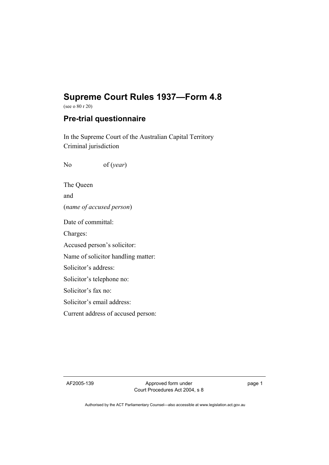## **Supreme Court Rules 1937—Form 4.8**

(see o 80 r 20)

## **Pre-trial questionnaire**

In the Supreme Court of the Australian Capital Territory Criminal jurisdiction

No of (*year*)

The Queen and (*name of accused person*) Date of committal: Charges: Accused person's solicitor:

Name of solicitor handling matter:

Solicitor's address:

Solicitor's telephone no:

Solicitor's fax no:

Solicitor's email address:

Current address of accused person:

AF2005-139 Approved form under Court Procedures Act 2004, s 8 page 1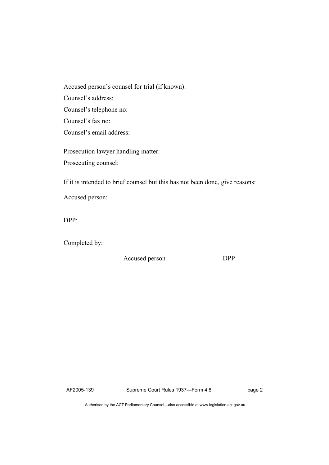Accused person's counsel for trial (if known): Counsel's address: Counsel's telephone no: Counsel's fax no: Counsel's email address:

Prosecution lawyer handling matter: Prosecuting counsel:

If it is intended to brief counsel but this has not been done, give reasons:

Accused person:

DPP:

Completed by:

Accused person DPP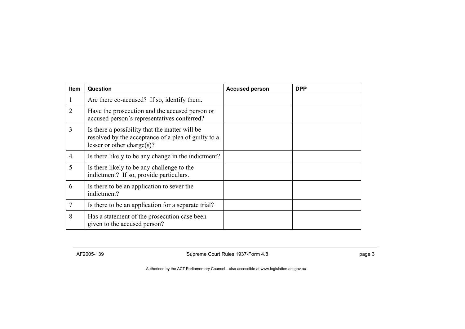| <b>Item</b>    | Question                                                                                                                            | <b>Accused person</b> | <b>DPP</b> |
|----------------|-------------------------------------------------------------------------------------------------------------------------------------|-----------------------|------------|
| 1              | Are there co-accused? If so, identify them.                                                                                         |                       |            |
| 2              | Have the prosecution and the accused person or<br>accused person's representatives conferred?                                       |                       |            |
| 3              | Is there a possibility that the matter will be<br>resolved by the acceptance of a plea of guilty to a<br>lesser or other charge(s)? |                       |            |
| $\overline{4}$ | Is there likely to be any change in the indictment?                                                                                 |                       |            |
| 5              | Is there likely to be any challenge to the<br>indictment? If so, provide particulars.                                               |                       |            |
| 6              | Is there to be an application to sever the<br>indictment?                                                                           |                       |            |
| $\overline{7}$ | Is there to be an application for a separate trial?                                                                                 |                       |            |
| 8              | Has a statement of the prosecution case been<br>given to the accused person?                                                        |                       |            |

AF2005-139 **Supreme Court Rules 1937-Form 4.8 Supreme Court Rules 1937-Form 4.8 page 3**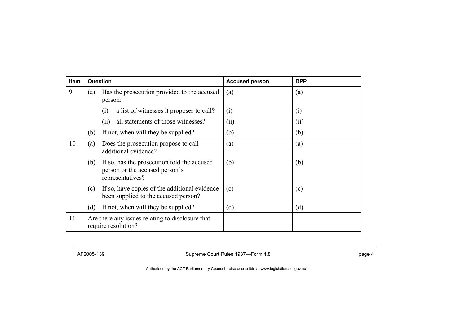| <b>Item</b> | Question                                                                |                                                                                                   | <b>Accused person</b> | <b>DPP</b> |
|-------------|-------------------------------------------------------------------------|---------------------------------------------------------------------------------------------------|-----------------------|------------|
| 9           | (a)                                                                     | Has the prosecution provided to the accused<br>person:                                            | (a)                   | (a)        |
|             |                                                                         | a list of witnesses it proposes to call?<br>(i)                                                   | (i)                   | (i)        |
|             |                                                                         | all statements of those witnesses?<br>(11)                                                        | (ii)                  | (ii)       |
|             | (b)                                                                     | If not, when will they be supplied?                                                               | (b)                   | (b)        |
| 10          | (a)                                                                     | Does the prosecution propose to call<br>additional evidence?                                      | (a)                   | (a)        |
|             | (b)                                                                     | If so, has the prosecution told the accused<br>person or the accused person's<br>representatives? | (b)                   | (b)        |
|             | (c)                                                                     | If so, have copies of the additional evidence<br>been supplied to the accused person?             | (c)                   | (c)        |
|             | (d)                                                                     | If not, when will they be supplied?                                                               | (d)                   | (d)        |
| 11          | Are there any issues relating to disclosure that<br>require resolution? |                                                                                                   |                       |            |

AF2005-139 **Supreme Court Rules 1937—Form 4.8 page 4** page 4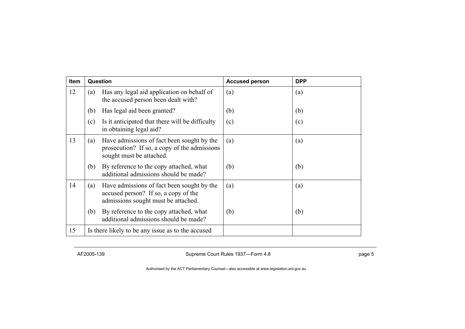| <b>Item</b> | Question                                          |                                                                                                                           | <b>Accused person</b> | <b>DPP</b> |
|-------------|---------------------------------------------------|---------------------------------------------------------------------------------------------------------------------------|-----------------------|------------|
| 12          | (a)                                               | Has any legal aid application on behalf of<br>the accused person been dealt with?                                         | (a)                   | (a)        |
|             | (b)                                               | Has legal aid been granted?                                                                                               | (b)                   | (b)        |
|             | (c)                                               | Is it anticipated that there will be difficulty<br>in obtaining legal aid?                                                | (c)                   | (c)        |
| 13          | (a)                                               | Have admissions of fact been sought by the<br>prosecution? If so, a copy of the admissions<br>sought must be attached.    | (a)                   | (a)        |
|             | (b)                                               | By reference to the copy attached, what<br>additional admissions should be made?                                          | (b)                   | (b)        |
| 14          | (a)                                               | Have admissions of fact been sought by the<br>accused person? If so, a copy of the<br>admissions sought must be attached. | (a)                   | (a)        |
|             | (b)                                               | By reference to the copy attached, what<br>additional admissions should be made?                                          | (b)                   | (b)        |
| 15          | Is there likely to be any issue as to the accused |                                                                                                                           |                       |            |

AF2005-139 **Supreme Court Rules 1937—Form 4.8 Page 5** page 5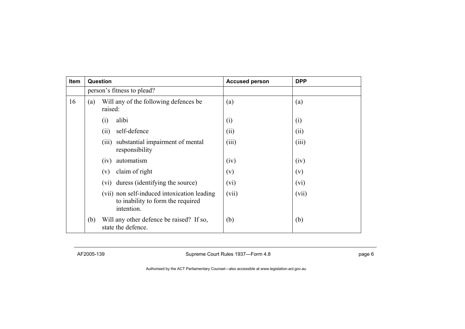| Item |                            | Question                                                                                       | <b>Accused person</b> | <b>DPP</b> |
|------|----------------------------|------------------------------------------------------------------------------------------------|-----------------------|------------|
|      | person's fitness to plead? |                                                                                                |                       |            |
| 16   | (a)                        | Will any of the following defences be<br>raised:                                               | (a)                   | (a)        |
|      |                            | alibi<br>$\left( 1\right)$                                                                     | (i)                   | (i)        |
|      |                            | self-defence<br>(ii)                                                                           | (ii)                  | (ii)       |
|      |                            | substantial impairment of mental<br>(iii)<br>responsibility                                    | (iii)                 | (iii)      |
|      |                            | automatism<br>(iv)                                                                             | (iv)                  | (iv)       |
|      |                            | claim of right<br>(v)                                                                          | (v)                   | (v)        |
|      |                            | duress (identifying the source)<br>(V1)                                                        | (vi)                  | (vi)       |
|      |                            | (vii) non self-induced intoxication leading<br>to inability to form the required<br>intention. | (vii)                 | (vii)      |
|      | (b)                        | Will any other defence be raised? If so,<br>state the defence.                                 | (b)                   | (b)        |

AF2005-139 **Supreme Court Rules 1937—Form 4.8 page 6** page 6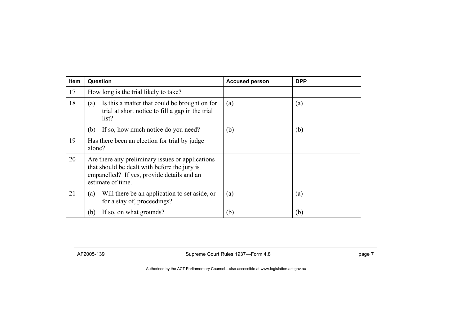| <b>Item</b> | Question                                                                                                                                                            | <b>Accused person</b> | <b>DPP</b> |
|-------------|---------------------------------------------------------------------------------------------------------------------------------------------------------------------|-----------------------|------------|
| 17          | How long is the trial likely to take?                                                                                                                               |                       |            |
| 18          | Is this a matter that could be brought on for<br>(a)<br>trial at short notice to fill a gap in the trial<br>list?                                                   | (a)                   | (a)        |
|             | If so, how much notice do you need?<br>(b)                                                                                                                          | (b)                   | (b)        |
| 19          | Has there been an election for trial by judge<br>alone?                                                                                                             |                       |            |
| 20          | Are there any preliminary issues or applications<br>that should be dealt with before the jury is<br>empanelled? If yes, provide details and an<br>estimate of time. |                       |            |
| 21          | Will there be an application to set aside, or<br>(a)<br>for a stay of, proceedings?                                                                                 | (a)                   | (a)        |
|             | If so, on what grounds?<br>(b)                                                                                                                                      | (b)                   | (b)        |

AF2005-139 **Supreme Court Rules 1937—Form 4.8 page 7** page 7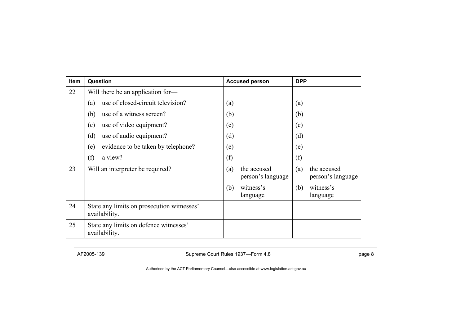| Item | Question                                                    | <b>Accused person</b>                   | <b>DPP</b>                              |
|------|-------------------------------------------------------------|-----------------------------------------|-----------------------------------------|
| 22   | Will there be an application for-                           |                                         |                                         |
|      | use of closed-circuit television?<br>(a)                    | (a)                                     | (a)                                     |
|      | (b)<br>use of a witness screen?                             | (b)                                     | (b)                                     |
|      | use of video equipment?<br>(c)                              | (c)                                     | (c)                                     |
|      | (d)<br>use of audio equipment?                              | (d)                                     | (d)                                     |
|      | evidence to be taken by telephone?<br>(e)                   | (e)                                     | (e)                                     |
|      | (f)<br>a view?                                              | (f)                                     | (f)                                     |
| 23   | Will an interpreter be required?                            | (a)<br>the accused<br>person's language | the accused<br>(a)<br>person's language |
|      |                                                             | witness's<br>(b)<br>language            | witness's<br>(b)<br>language            |
| 24   | State any limits on prosecution witnesses'<br>availability. |                                         |                                         |
| 25   | State any limits on defence witnesses'<br>availability.     |                                         |                                         |

AF2005-139 **Supreme Court Rules 1937—Form 4.8 Page 8 page 8**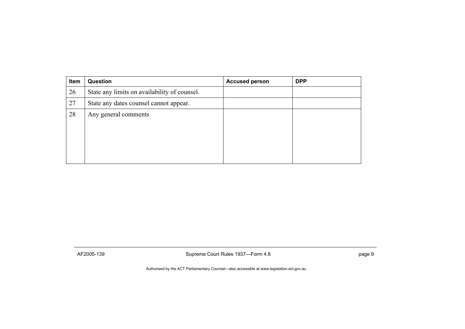| Item | <b>Question</b>                              | <b>Accused person</b> | <b>DPP</b> |
|------|----------------------------------------------|-----------------------|------------|
| 26   | State any limits on availability of counsel. |                       |            |
| 27   | State any dates counsel cannot appear.       |                       |            |
| 28   | Any general comments                         |                       |            |
|      |                                              |                       |            |

AF2005-139 **Supreme Court Rules 1937—Form 4.8 page 9** page 9